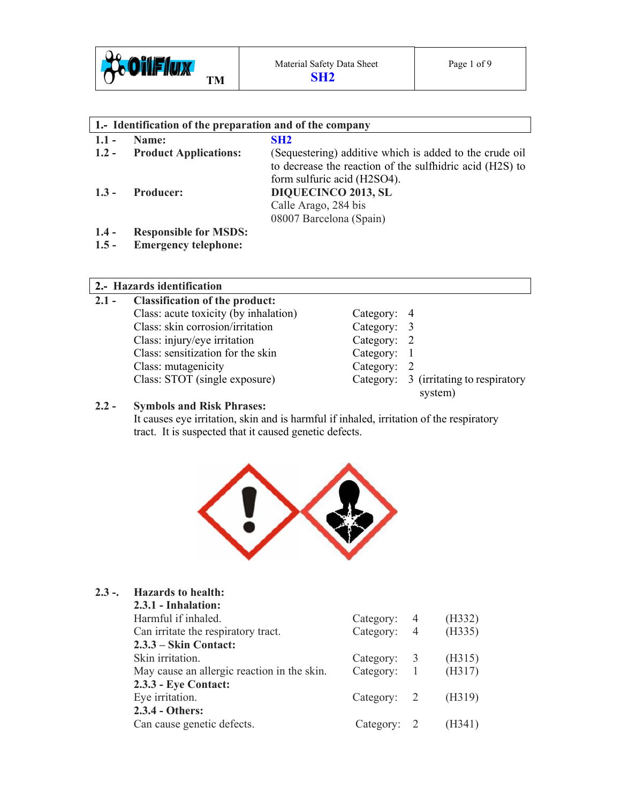

| 1. Identification of the preparation and of the company |                              |                                                                                                                                                                          |  |  |
|---------------------------------------------------------|------------------------------|--------------------------------------------------------------------------------------------------------------------------------------------------------------------------|--|--|
| $1.1 -$                                                 | Name:                        | SH2                                                                                                                                                                      |  |  |
| $1.2 -$                                                 | <b>Product Applications:</b> | (Sequestering) additive which is added to the crude oil                                                                                                                  |  |  |
| $1.3 -$                                                 | <b>Producer:</b>             | to decrease the reaction of the sulfhidric acid (H2S) to<br>form sulfuric acid (H2SO4).<br><b>DIQUECINCO 2013, SL</b><br>Calle Arago, 284 bis<br>08007 Barcelona (Spain) |  |  |
| $1.4 -$                                                 | <b>Responsible for MSDS:</b> |                                                                                                                                                                          |  |  |

**1.5 - Emergency telephone:** 

# **2.- Hazards identification**

| $2.1 -$ | <b>Classification of the product:</b> |             |                                                   |  |  |
|---------|---------------------------------------|-------------|---------------------------------------------------|--|--|
|         | Class: acute toxicity (by inhalation) | Category: 4 |                                                   |  |  |
|         | Class: skin corrosion/irritation      | Category: 3 |                                                   |  |  |
|         | Class: injury/eye irritation          | Category: 2 |                                                   |  |  |
|         | Class: sensitization for the skin     | Category: 1 |                                                   |  |  |
|         | Class: mutagenicity                   | Category: 2 |                                                   |  |  |
|         | Class: STOT (single exposure)         |             | Category: 3 (irritating to respiratory<br>system) |  |  |

# **2.2 - Symbols and Risk Phrases:**

It causes eye irritation, skin and is harmful if inhaled, irritation of the respiratory tract. It is suspected that it caused genetic defects.



# **2.3 -. Hazards to health:**

| 2.3.1 - Inhalation:                         |               |                          |        |
|---------------------------------------------|---------------|--------------------------|--------|
| Harmful if inhaled.                         | Category:     | 4                        | (H332) |
| Can irritate the respiratory tract.         | Category: 4   |                          | (H335) |
| $2.3.3 -$ Skin Contact:                     |               |                          |        |
| Skin irritation.                            | Category:     | $\overline{\phantom{a}}$ | (H315) |
| May cause an allergic reaction in the skin. | Category:     | $\frac{1}{2}$            | (H317) |
| 2.3.3 - Eye Contact:                        |               |                          |        |
| Eye irritation.                             | Category: $2$ |                          | (H319) |
| 2.3.4 - Others:                             |               |                          |        |
| Can cause genetic defects.                  | Category:     |                          | (H341) |
|                                             |               |                          |        |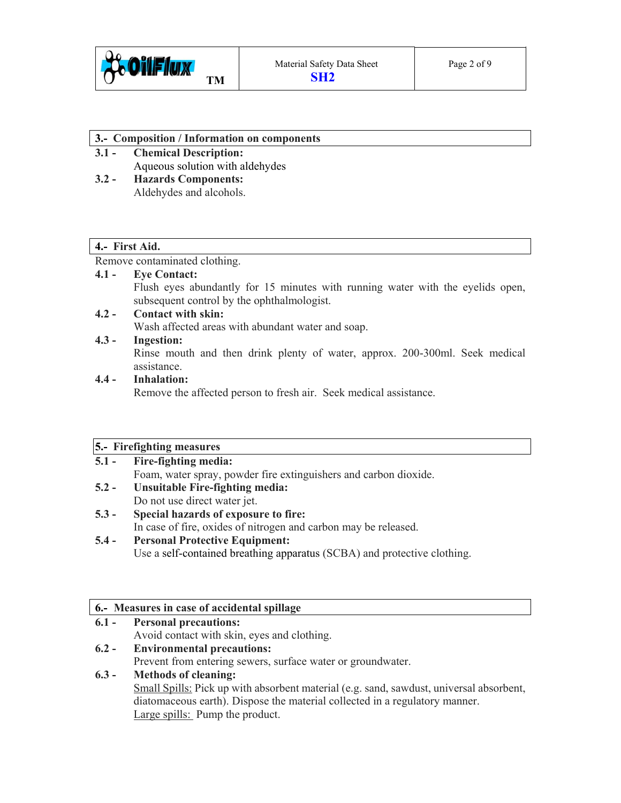

#### **3.- Composition / Information on components**

- **3.1 Chemical Description:**  Aqueous solution with aldehydes
- **3.2 Hazards Components:**  Aldehydes and alcohols.

# **4.- First Aid.**

Remove contaminated clothing.

# **4.1 - Eye Contact:**

Flush eyes abundantly for 15 minutes with running water with the eyelids open, subsequent control by the ophthalmologist.

# **4.2 - Contact with skin:**

Wash affected areas with abundant water and soap.

# **4.3 - Ingestion:**

Rinse mouth and then drink plenty of water, approx. 200-300ml. Seek medical assistance.

# **4.4 - Inhalation:**

Remove the affected person to fresh air. Seek medical assistance.

# **5.- Firefighting measures**

| $5.1 -$ | <b>Fire-fighting media:</b>                                      |  |
|---------|------------------------------------------------------------------|--|
|         | Foam, water spray, powder fire extinguishers and carbon dioxide. |  |
| $5.2 -$ | Unsuitable Fire-fighting media:                                  |  |
|         | Do not use direct water jet.                                     |  |
|         |                                                                  |  |

**5.3 - Special hazards of exposure to fire:**  In case of fire, oxides of nitrogen and carbon may be released.

# **5.4 - Personal Protective Equipment:**  Use a self-contained breathing apparatus (SCBA) and protective clothing.

# **6.- Measures in case of accidental spillage**

**6.1 - Personal precautions:**  Avoid contact with skin, eyes and clothing. **6.2 - Environmental precautions:**  Prevent from entering sewers, surface water or groundwater.

# **6.3 - Methods of cleaning:**

Small Spills: Pick up with absorbent material (e.g. sand, sawdust, universal absorbent, diatomaceous earth). Dispose the material collected in a regulatory manner. Large spills: Pump the product.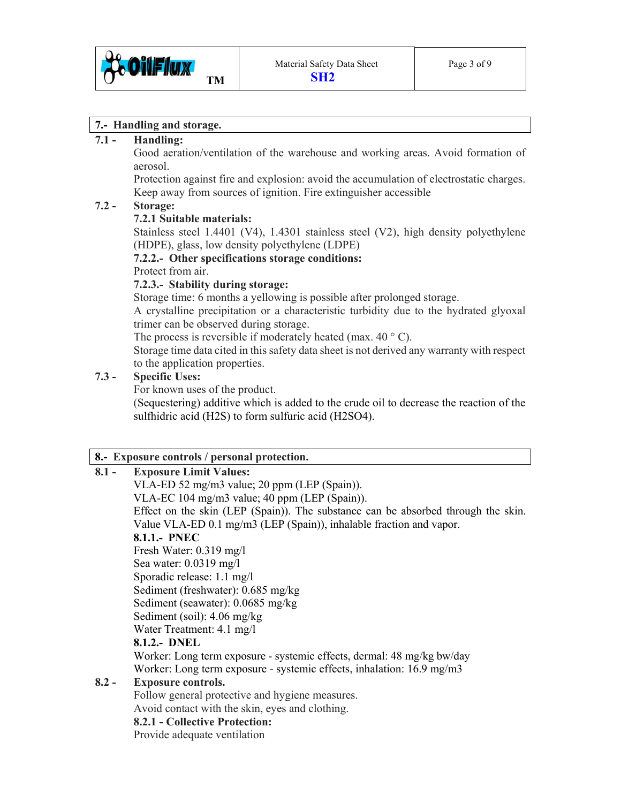

## **7.- Handling and storage.**

### **7.1 - Handling:**

Good aeration/ventilation of the warehouse and working areas. Avoid formation of aerosol.

 Protection against fire and explosion: avoid the accumulation of electrostatic charges. Keep away from sources of ignition. Fire extinguisher accessible

## **7.2 - Storage:**

## **7.2.1 Suitable materials:**

Stainless steel 1.4401 (V4), 1.4301 stainless steel (V2), high density polyethylene (HDPE), glass, low density polyethylene (LDPE)

#### **7.2.2.- Other specifications storage conditions:**

Protect from air.

## **7.2.3.- Stability during storage:**

Storage time: 6 months a yellowing is possible after prolonged storage.

 A crystalline precipitation or a characteristic turbidity due to the hydrated glyoxal trimer can be observed during storage.

The process is reversible if moderately heated (max.  $40^{\circ}$  C).

 Storage time data cited in this safety data sheet is not derived any warranty with respect to the application properties.

## **7.3 - Specific Uses:**

For known uses of the product.

 (Sequestering) additive which is added to the crude oil to decrease the reaction of the sulfhidric acid (H2S) to form sulfuric acid (H2SO4).

# **8.- Exposure controls / personal protection.**

## **8.1 - Exposure Limit Values:**

VLA-ED 52 mg/m3 value; 20 ppm (LEP (Spain)).

VLA-EC 104 mg/m3 value; 40 ppm (LEP (Spain)).

 Effect on the skin (LEP (Spain)). The substance can be absorbed through the skin. Value VLA-ED 0.1 mg/m3 (LEP (Spain)), inhalable fraction and vapor.

# **8.1.1.- PNEC**

 Fresh Water: 0.319 mg/l Sea water: 0.0319 mg/l Sporadic release: 1.1 mg/l Sediment (freshwater): 0.685 mg/kg Sediment (seawater): 0.0685 mg/kg Sediment (soil): 4.06 mg/kg Water Treatment: 4.1 mg/l **8.1.2.- DNEL** 

 Worker: Long term exposure - systemic effects, dermal: 48 mg/kg bw/day Worker: Long term exposure - systemic effects, inhalation: 16.9 mg/m3

# **8.2 - Exposure controls.**

Follow general protective and hygiene measures.

Avoid contact with the skin, eyes and clothing.

## **8.2.1 - Collective Protection:**

Provide adequate ventilation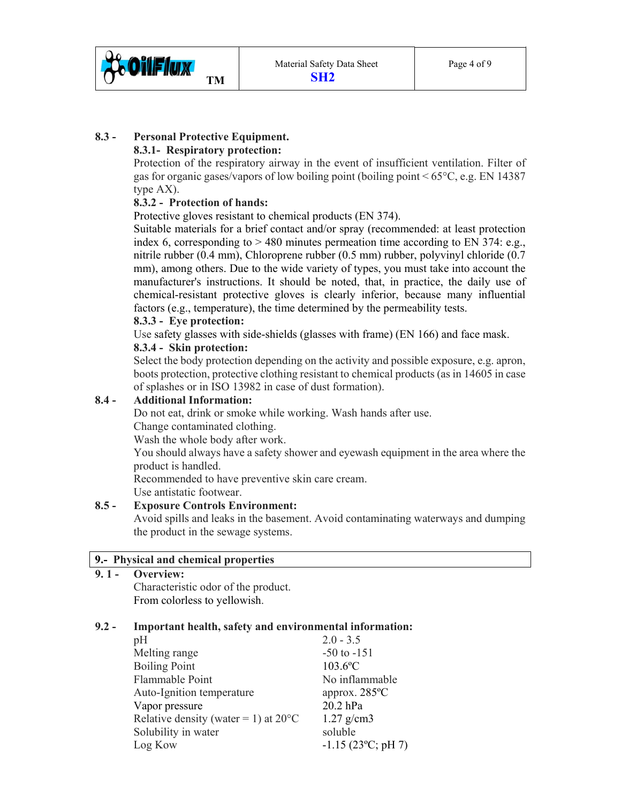

# **8.3 - Personal Protective Equipment.**

# **8.3.1- Respiratory protection:**

Protection of the respiratory airway in the event of insufficient ventilation. Filter of gas for organic gases/vapors of low boiling point (boiling point  $\leq 65^{\circ}$ C, e.g. EN 14387 type AX).

## **8.3.2 - Protection of hands:**

Protective gloves resistant to chemical products (EN 374).

 Suitable materials for a brief contact and/or spray (recommended: at least protection index 6, corresponding to  $> 480$  minutes permeation time according to EN 374: e.g., nitrile rubber (0.4 mm), Chloroprene rubber (0.5 mm) rubber, polyvinyl chloride (0.7 mm), among others. Due to the wide variety of types, you must take into account the manufacturer's instructions. It should be noted, that, in practice, the daily use of chemical-resistant protective gloves is clearly inferior, because many influential factors (e.g., temperature), the time determined by the permeability tests.

## **8.3.3 - Eye protection:**

Use safety glasses with side-shields (glasses with frame) (EN 166) and face mask.

#### **8.3.4 - Skin protection:**

Select the body protection depending on the activity and possible exposure, e.g. apron, boots protection, protective clothing resistant to chemical products (as in 14605 in case of splashes or in ISO 13982 in case of dust formation).

#### **8.4 - Additional Information:**

Do not eat, drink or smoke while working. Wash hands after use.

Change contaminated clothing.

Wash the whole body after work.

 You should always have a safety shower and eyewash equipment in the area where the product is handled.

Recommended to have preventive skin care cream.

Use antistatic footwear.

#### **8.5 - Exposure Controls Environment:**

Avoid spills and leaks in the basement. Avoid contaminating waterways and dumping the product in the sewage systems.

#### **9.- Physical and chemical properties**

**9. 1 - Overview:** 

Characteristic odor of the product. From colorless to yellowish.

### **9.2 - Important health, safety and environmental information:**

| $2.0 - 3.5$                       |
|-----------------------------------|
| $-50$ to $-151$                   |
| $103.6$ °C                        |
| No inflammable                    |
| approx. $285^{\circ}$ C           |
| 20.2 hPa                          |
| $1.27$ g/cm3                      |
| soluble                           |
| $-1.15$ (23 <sup>o</sup> C; pH 7) |
|                                   |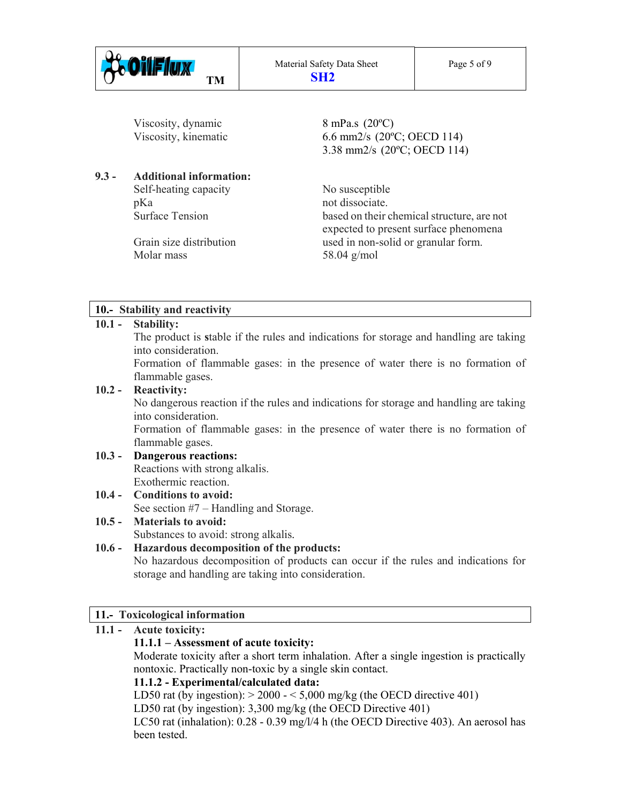

Viscosity, dynamic  $8 \text{ mPa.s } (20^{\circ} \text{C})$ 

# **9.3 - Additional information:**

Self-heating capacity No susceptible pKa not dissociate.

Molar mass 58.04 g/mol

Viscosity, kinematic 6.6 mm2/s (20°C; OECD 114) 3.38 mm2/s (20ºC; OECD 114)

 Surface Tension based on their chemical structure, are not expected to present surface phenomena Grain size distribution used in non-solid or granular form.

# **10.- Stability and reactivity**

# **10.1 - Stability:**

The product is **s**table if the rules and indications for storage and handling are taking into consideration.

 Formation of flammable gases: in the presence of water there is no formation of flammable gases.

# **10.2 - Reactivity:**

No dangerous reaction if the rules and indications for storage and handling are taking into consideration.

 Formation of flammable gases: in the presence of water there is no formation of flammable gases.

#### **10.3 - Dangerous reactions:**  Reactions with strong alkalis. Exothermic reaction.

**10.4 - Conditions to avoid:**  See section #7 – Handling and Storage.

# **10.5 - Materials to avoid:**

Substances to avoid: strong alkalis.

# **10.6 - Hazardous decomposition of the products:**

No hazardous decomposition of products can occur if the rules and indications for storage and handling are taking into consideration.

# **11.- Toxicological information**

# **11.1 - Acute toxicity:**

# **11.1.1 – Assessment of acute toxicity:**

 Moderate toxicity after a short term inhalation. After a single ingestion is practically nontoxic. Practically non-toxic by a single skin contact.

# **11.1.2 - Experimental/calculated data:**

LD50 rat (by ingestion):  $> 2000 - 5,000$  mg/kg (the OECD directive 401)

LD50 rat (by ingestion): 3,300 mg/kg (the OECD Directive 401)

 LC50 rat (inhalation): 0.28 - 0.39 mg/l/4 h (the OECD Directive 403). An aerosol has been tested.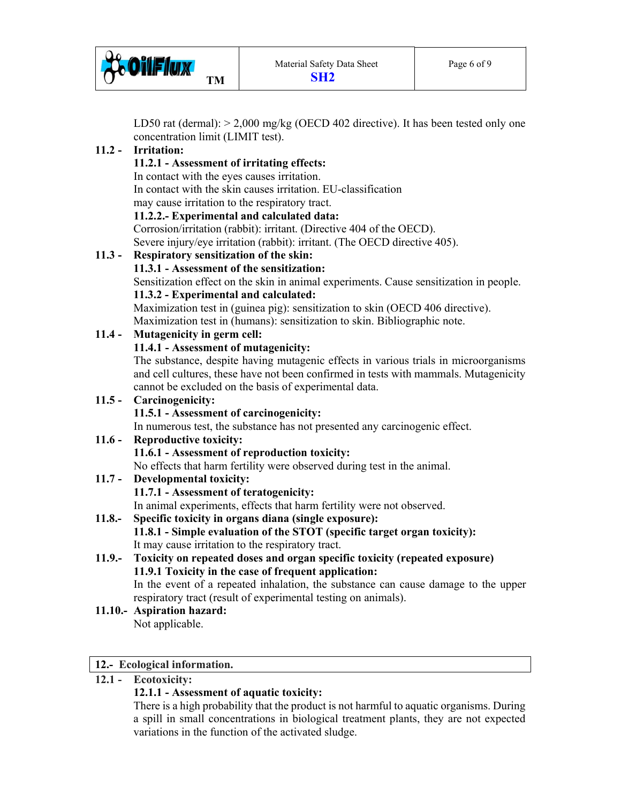

LD50 rat (dermal):  $> 2,000$  mg/kg (OECD 402 directive). It has been tested only one concentration limit (LIMIT test).

# **11.2 - Irritation:**

# **11.2.1 - Assessment of irritating effects:**

In contact with the eyes causes irritation.

In contact with the skin causes irritation. EU-classification

may cause irritation to the respiratory tract.

**11.2.2.- Experimental and calculated data:** 

Corrosion/irritation (rabbit): irritant. (Directive 404 of the OECD).

Severe injury/eye irritation (rabbit): irritant. (The OECD directive 405).

# **11.3 - Respiratory sensitization of the skin:**

# **11.3.1 - Assessment of the sensitization:**

Sensitization effect on the skin in animal experiments. Cause sensitization in people.

# **11.3.2 - Experimental and calculated:**

Maximization test in (guinea pig): sensitization to skin (OECD 406 directive). Maximization test in (humans): sensitization to skin. Bibliographic note.

# **11.4 - Mutagenicity in germ cell:**

# **11.4.1 - Assessment of mutagenicity:**

 The substance, despite having mutagenic effects in various trials in microorganisms and cell cultures, these have not been confirmed in tests with mammals. Mutagenicity cannot be excluded on the basis of experimental data.

### **11.5 - Carcinogenicity:**

# **11.5.1 - Assessment of carcinogenicity:**

In numerous test, the substance has not presented any carcinogenic effect.

# **11.6 - Reproductive toxicity:**

# **11.6.1 - Assessment of reproduction toxicity:**

No effects that harm fertility were observed during test in the animal.

**11.7 - Developmental toxicity:** 

# **11.7.1 - Assessment of teratogenicity:**

In animal experiments, effects that harm fertility were not observed.

- **11.8.- Specific toxicity in organs diana (single exposure): 11.8.1 - Simple evaluation of the STOT (specific target organ toxicity):**  It may cause irritation to the respiratory tract.
- **11.9.- Toxicity on repeated doses and organ specific toxicity (repeated exposure) 11.9.1 Toxicity in the case of frequent application:**  In the event of a repeated inhalation, the substance can cause damage to the upper

respiratory tract (result of experimental testing on animals).

**11.10.- Aspiration hazard:**  Not applicable.

# **12.- Ecological information.**

# **12.1 - Ecotoxicity:**

# **12.1.1 - Assessment of aquatic toxicity:**

 There is a high probability that the product is not harmful to aquatic organisms. During a spill in small concentrations in biological treatment plants, they are not expected variations in the function of the activated sludge.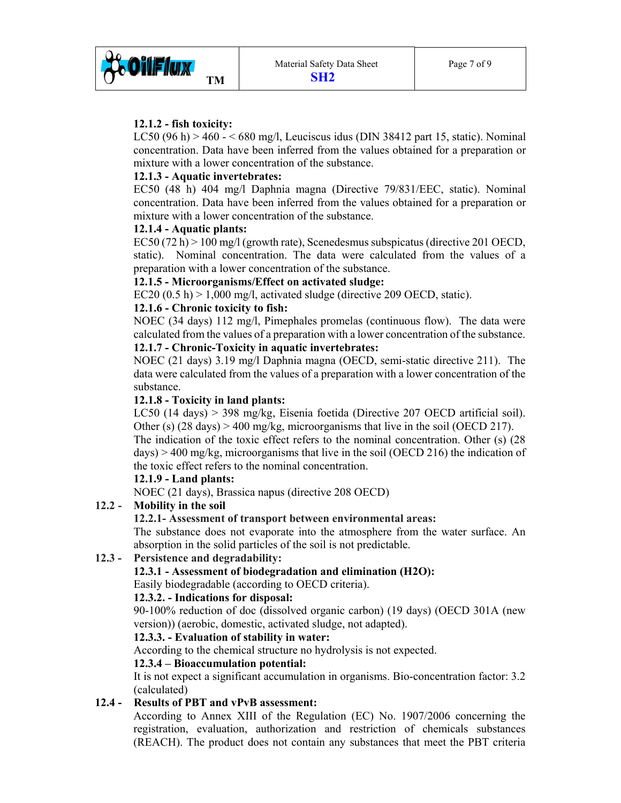

## **12.1.2 - fish toxicity:**

 LC50 (96 h) > 460 - < 680 mg/l, Leuciscus idus (DIN 38412 part 15, static). Nominal concentration. Data have been inferred from the values obtained for a preparation or mixture with a lower concentration of the substance.

### **12.1.3 - Aquatic invertebrates:**

 EC50 (48 h) 404 mg/l Daphnia magna (Directive 79/831/EEC, static). Nominal concentration. Data have been inferred from the values obtained for a preparation or mixture with a lower concentration of the substance.

## **12.1.4 - Aquatic plants:**

 EC50 (72 h) > 100 mg/l (growth rate), Scenedesmus subspicatus (directive 201 OECD, static). Nominal concentration. The data were calculated from the values of a preparation with a lower concentration of the substance.

#### **12.1.5 - Microorganisms/Effect on activated sludge:**

EC20  $(0.5 h)$  > 1,000 mg/l, activated sludge (directive 209 OECD, static).

## **12.1.6 - Chronic toxicity to fish:**

 NOEC (34 days) 112 mg/l, Pimephales promelas (continuous flow). The data were calculated from the values of a preparation with a lower concentration of the substance.

# **12.1.7 - Chronic-Toxicity in aquatic invertebrates:**

 NOEC (21 days) 3.19 mg/l Daphnia magna (OECD, semi-static directive 211). The data were calculated from the values of a preparation with a lower concentration of the substance.

## **12.1.8 - Toxicity in land plants:**

 LC50 (14 days) > 398 mg/kg, Eisenia foetida (Directive 207 OECD artificial soil). Other (s)  $(28 \text{ days}) > 400 \text{ mg/kg}$ , microorganisms that live in the soil (OECD 217).

 The indication of the toxic effect refers to the nominal concentration. Other (s) (28  $days$ ) > 400 mg/kg, microorganisms that live in the soil (OECD 216) the indication of the toxic effect refers to the nominal concentration.

#### **12.1.9 - Land plants:**

NOEC (21 days), Brassica napus (directive 208 OECD)

# **12.2 - Mobility in the soil**

#### **12.2.1- Assessment of transport between environmental areas:**

 The substance does not evaporate into the atmosphere from the water surface. An absorption in the solid particles of the soil is not predictable.

#### **12.3 - Persistence and degradability:**

#### **12.3.1 - Assessment of biodegradation and elimination (H2O):**

Easily biodegradable (according to OECD criteria).

## **12.3.2. - Indications for disposal:**

 90-100% reduction of doc (dissolved organic carbon) (19 days) (OECD 301A (new version)) (aerobic, domestic, activated sludge, not adapted).

### **12.3.3. - Evaluation of stability in water:**

According to the chemical structure no hydrolysis is not expected.

# **12.3.4 – Bioaccumulation potential:**

 It is not expect a significant accumulation in organisms. Bio-concentration factor: 3.2 (calculated)

# **12.4 - Results of PBT and vPvB assessment:**

 According to Annex XIII of the Regulation (EC) No. 1907/2006 concerning the registration, evaluation, authorization and restriction of chemicals substances (REACH). The product does not contain any substances that meet the PBT criteria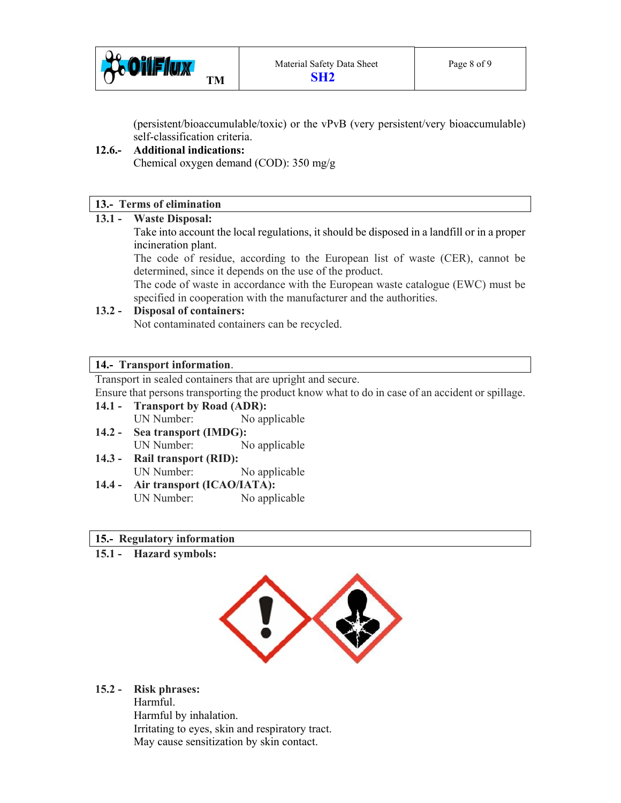

(persistent/bioaccumulable/toxic) or the vPvB (very persistent/very bioaccumulable) self-classification criteria.

# **12.6.- Additional indications:**

Chemical oxygen demand (COD): 350 mg/g

# **13.- Terms of elimination**

#### **13.1 - Waste Disposal:**

Take into account the local regulations, it should be disposed in a landfill or in a proper incineration plant.

The code of residue, according to the European list of waste (CER), cannot be determined, since it depends on the use of the product.

 The code of waste in accordance with the European waste catalogue (EWC) must be specified in cooperation with the manufacturer and the authorities.

## **13.2 - Disposal of containers:**

Not contaminated containers can be recycled.

## **14.- Transport information**.

Transport in sealed containers that are upright and secure.

Ensure that persons transporting the product know what to do in case of an accident or spillage.

- **14.1 Transport by Road (ADR):**  UN Number: No applicable
- **14.2 Sea transport (IMDG):**  UN Number: No applicable
- **14.3 Rail transport (RID):** UN Number: No applicable
- **14.4 Air transport (ICAO/IATA):**  UN Number: No applicable

#### **15.- Regulatory information**

**15.1 - Hazard symbols:** 



# **15.2 - Risk phrases:**

Harmful. Harmful by inhalation. Irritating to eyes, skin and respiratory tract. May cause sensitization by skin contact.